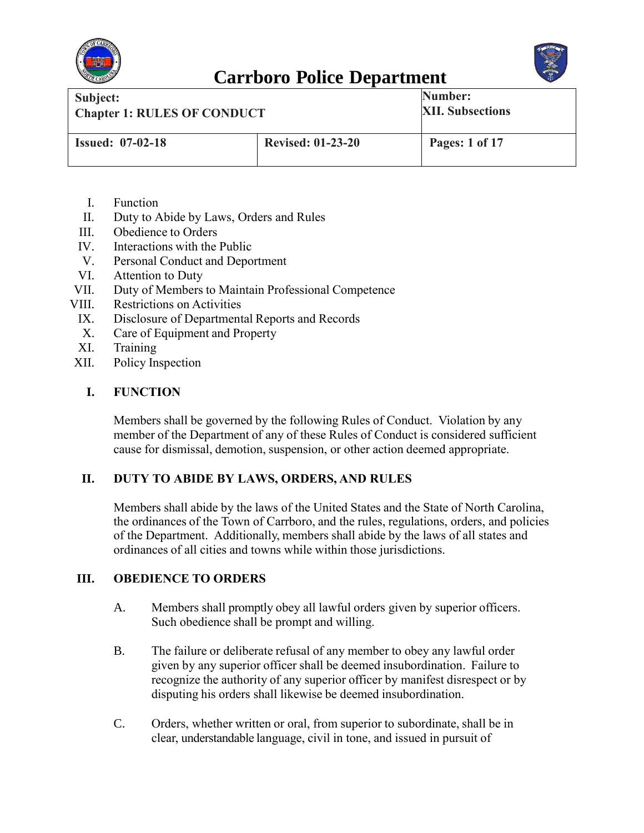



| Subject:<br><b>Chapter 1: RULES OF CONDUCT</b> |                          | Number:<br><b>XII. Subsections</b> |
|------------------------------------------------|--------------------------|------------------------------------|
| <b>Issued: 07-02-18</b>                        | <b>Revised: 01-23-20</b> | Pages: 1 of 17                     |

- I. Function
- II. Duty to Abide by Laws, Orders and Rules
- III. Obedience to Orders
- IV. Interactions with the Public
- V. Personal Conduct and Deportment
- VI. Attention to Duty
- VII. Duty of Members to Maintain Professional Competence
- VIII. Restrictions on Activities
- IX. Disclosure of Departmental Reports and Records
- X. Care of Equipment and Property
- XI. Training
- XII. Policy Inspection

#### **I. FUNCTION**

Members shall be governed by the following Rules of Conduct. Violation by any member of the Department of any of these Rules of Conduct is considered sufficient cause for dismissal, demotion, suspension, or other action deemed appropriate.

#### **II. DUTY TO ABIDE BY LAWS, ORDERS, AND RULES**

Members shall abide by the laws of the United States and the State of North Carolina, the ordinances of the Town of Carrboro, and the rules, regulations, orders, and policies of the Department. Additionally, members shall abide by the laws of all states and ordinances of all cities and towns while within those jurisdictions.

#### **III. OBEDIENCE TO ORDERS**

- A. Members shall promptly obey all lawful orders given by superior officers. Such obedience shall be prompt and willing.
- B. The failure or deliberate refusal of any member to obey any lawful order given by any superior officer shall be deemed insubordination. Failure to recognize the authority of any superior officer by manifest disrespect or by disputing his orders shall likewise be deemed insubordination.
- C. Orders, whether written or oral, from superior to subordinate, shall be in clear, understandable language, civil in tone, and issued in pursuit of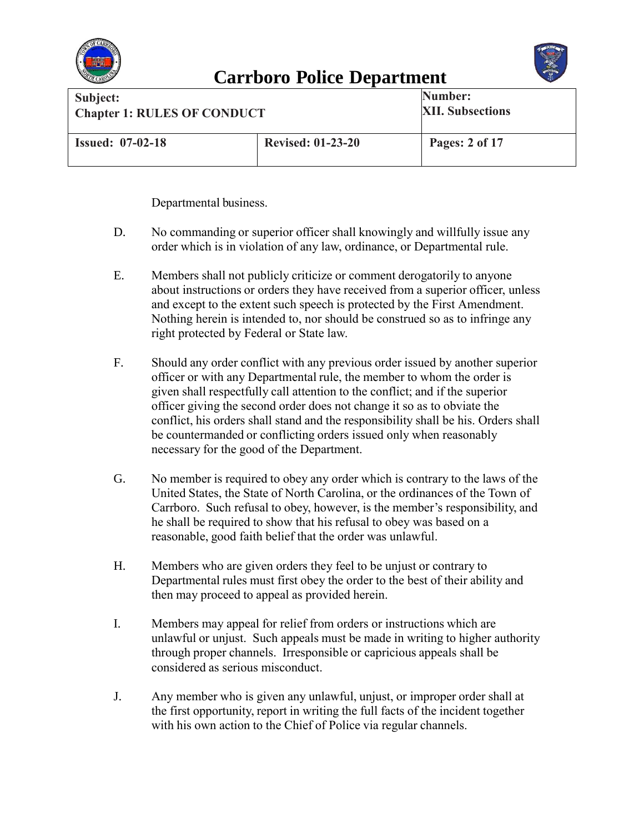



| Subject:<br><b>Chapter 1: RULES OF CONDUCT</b> |                          | Number:<br><b>XII. Subsections</b> |
|------------------------------------------------|--------------------------|------------------------------------|
| <b>Issued: 07-02-18</b>                        | <b>Revised: 01-23-20</b> | Pages: 2 of 17                     |

Departmental business.

- D. No commanding or superior officer shall knowingly and willfully issue any order which is in violation of any law, ordinance, or Departmental rule.
- E. Members shall not publicly criticize or comment derogatorily to anyone about instructions or orders they have received from a superior officer, unless and except to the extent such speech is protected by the First Amendment. Nothing herein is intended to, nor should be construed so as to infringe any right protected by Federal or State law.
- F. Should any order conflict with any previous order issued by another superior officer or with any Departmental rule, the member to whom the order is given shall respectfully call attention to the conflict; and if the superior officer giving the second order does not change it so as to obviate the conflict, his orders shall stand and the responsibility shall be his. Orders shall be countermanded or conflicting orders issued only when reasonably necessary for the good of the Department.
- G. No member is required to obey any order which is contrary to the laws of the United States, the State of North Carolina, or the ordinances of the Town of Carrboro. Such refusal to obey, however, is the member's responsibility, and he shall be required to show that his refusal to obey was based on a reasonable, good faith belief that the order was unlawful.
- H. Members who are given orders they feel to be unjust or contrary to Departmental rules must first obey the order to the best of their ability and then may proceed to appeal as provided herein.
- I. Members may appeal for relief from orders or instructions which are unlawful or unjust. Such appeals must be made in writing to higher authority through proper channels. Irresponsible or capricious appeals shall be considered as serious misconduct.
- J. Any member who is given any unlawful, unjust, or improper order shall at the first opportunity, report in writing the full facts of the incident together with his own action to the Chief of Police via regular channels.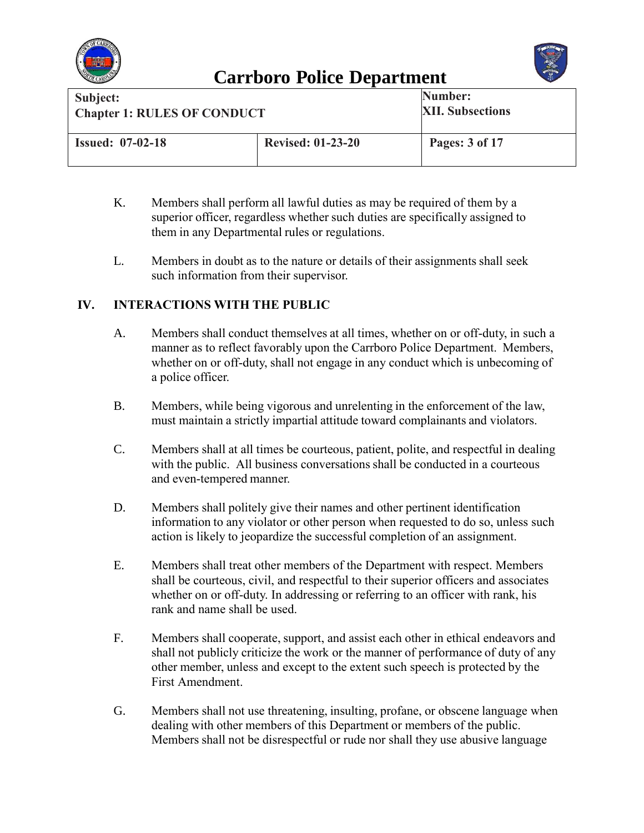



| Subject:<br><b>Chapter 1: RULES OF CONDUCT</b> |                          | Number:<br><b>XII. Subsections</b> |
|------------------------------------------------|--------------------------|------------------------------------|
| <b>Issued: 07-02-18</b>                        | <b>Revised: 01-23-20</b> | Pages: 3 of 17                     |

- K. Members shall perform all lawful duties as may be required of them by a superior officer, regardless whether such duties are specifically assigned to them in any Departmental rules or regulations.
- L. Members in doubt as to the nature or details of their assignments shall seek such information from their supervisor.

#### **IV. INTERACTIONS WITH THE PUBLIC**

- A. Members shall conduct themselves at all times, whether on or off-duty, in such a manner as to reflect favorably upon the Carrboro Police Department. Members, whether on or off-duty, shall not engage in any conduct which is unbecoming of a police officer.
- B. Members, while being vigorous and unrelenting in the enforcement of the law, must maintain a strictly impartial attitude toward complainants and violators.
- C. Members shall at all times be courteous, patient, polite, and respectful in dealing with the public. All business conversations shall be conducted in a courteous and even-tempered manner.
- D. Members shall politely give their names and other pertinent identification information to any violator or other person when requested to do so, unless such action is likely to jeopardize the successful completion of an assignment.
- E. Members shall treat other members of the Department with respect. Members shall be courteous, civil, and respectful to their superior officers and associates whether on or off-duty. In addressing or referring to an officer with rank, his rank and name shall be used.
- F. Members shall cooperate, support, and assist each other in ethical endeavors and shall not publicly criticize the work or the manner of performance of duty of any other member, unless and except to the extent such speech is protected by the First Amendment.
- G. Members shall not use threatening, insulting, profane, or obscene language when dealing with other members of this Department or members of the public. Members shall not be disrespectful or rude nor shall they use abusive language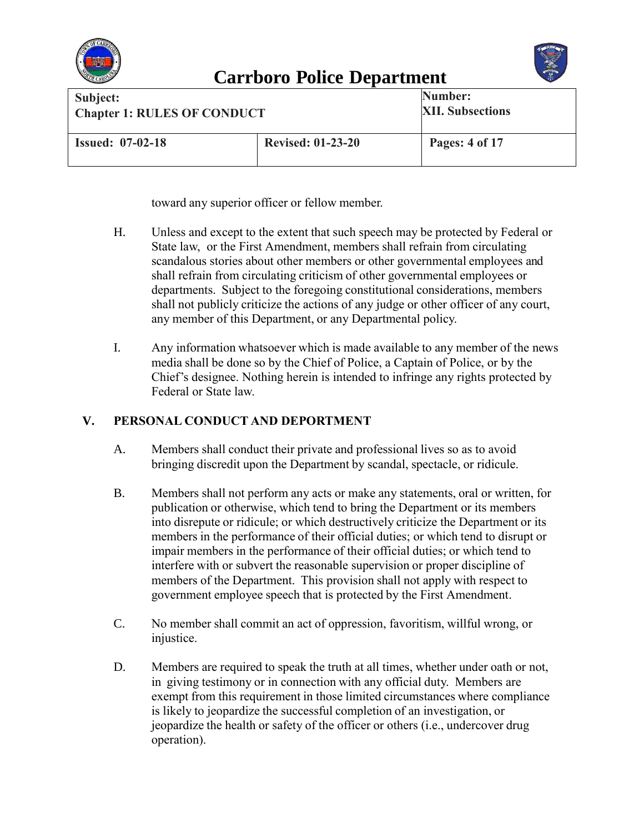



| Subject:                           |                          | Number:                 |
|------------------------------------|--------------------------|-------------------------|
| <b>Chapter 1: RULES OF CONDUCT</b> |                          | <b>XII. Subsections</b> |
| <b>Issued: 07-02-18</b>            | <b>Revised: 01-23-20</b> | Pages: 4 of 17          |

toward any superior officer or fellow member.

- H. Unless and except to the extent that such speech may be protected by Federal or State law, or the First Amendment, members shall refrain from circulating scandalous stories about other members or other governmental employees and shall refrain from circulating criticism of other governmental employees or departments. Subject to the foregoing constitutional considerations, members shall not publicly criticize the actions of any judge or other officer of any court, any member of this Department, or any Departmental policy.
- I. Any information whatsoever which is made available to any member of the news media shall be done so by the Chief of Police, a Captain of Police, or by the Chief's designee. Nothing herein is intended to infringe any rights protected by Federal or State law.

#### **V. PERSONAL CONDUCT AND DEPORTMENT**

- A. Members shall conduct their private and professional lives so as to avoid bringing discredit upon the Department by scandal, spectacle, or ridicule.
- B. Members shall not perform any acts or make any statements, oral or written, for publication or otherwise, which tend to bring the Department or its members into disrepute or ridicule; or which destructively criticize the Department or its members in the performance of their official duties; or which tend to disrupt or impair members in the performance of their official duties; or which tend to interfere with or subvert the reasonable supervision or proper discipline of members of the Department. This provision shall not apply with respect to government employee speech that is protected by the First Amendment.
- C. No member shall commit an act of oppression, favoritism, willful wrong, or injustice.
- D. Members are required to speak the truth at all times, whether under oath or not, in giving testimony or in connection with any official duty. Members are exempt from this requirement in those limited circumstances where compliance is likely to jeopardize the successful completion of an investigation, or jeopardize the health or safety of the officer or others (i.e., undercover drug operation).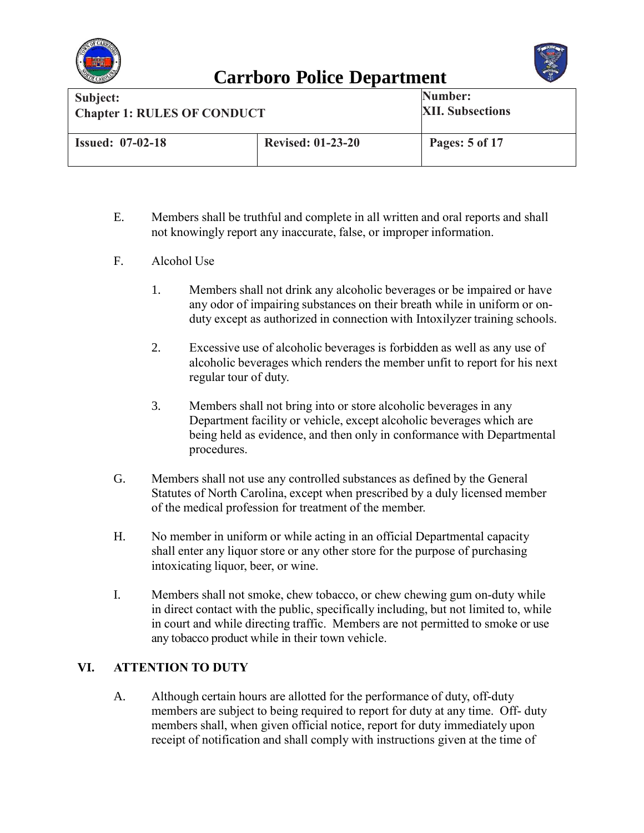



| Subject:<br><b>Chapter 1: RULES OF CONDUCT</b> |                          | Number:<br><b>XII. Subsections</b> |
|------------------------------------------------|--------------------------|------------------------------------|
| <b>Issued: 07-02-18</b>                        | <b>Revised: 01-23-20</b> | Pages: 5 of 17                     |

- E. Members shall be truthful and complete in all written and oral reports and shall not knowingly report any inaccurate, false, or improper information.
- F. Alcohol Use
	- 1. Members shall not drink any alcoholic beverages or be impaired or have any odor of impairing substances on their breath while in uniform or onduty except as authorized in connection with Intoxilyzer training schools.
	- 2. Excessive use of alcoholic beverages is forbidden as well as any use of alcoholic beverages which renders the member unfit to report for his next regular tour of duty.
	- 3. Members shall not bring into or store alcoholic beverages in any Department facility or vehicle, except alcoholic beverages which are being held as evidence, and then only in conformance with Departmental procedures.
- G. Members shall not use any controlled substances as defined by the General Statutes of North Carolina, except when prescribed by a duly licensed member of the medical profession for treatment of the member.
- H. No member in uniform or while acting in an official Departmental capacity shall enter any liquor store or any other store for the purpose of purchasing intoxicating liquor, beer, or wine.
- I. Members shall not smoke, chew tobacco, or chew chewing gum on-duty while in direct contact with the public, specifically including, but not limited to, while in court and while directing traffic. Members are not permitted to smoke or use any tobacco product while in their town vehicle.

#### **VI. ATTENTION TO DUTY**

A. Although certain hours are allotted for the performance of duty, off-duty members are subject to being required to report for duty at any time. Off- duty members shall, when given official notice, report for duty immediately upon receipt of notification and shall comply with instructions given at the time of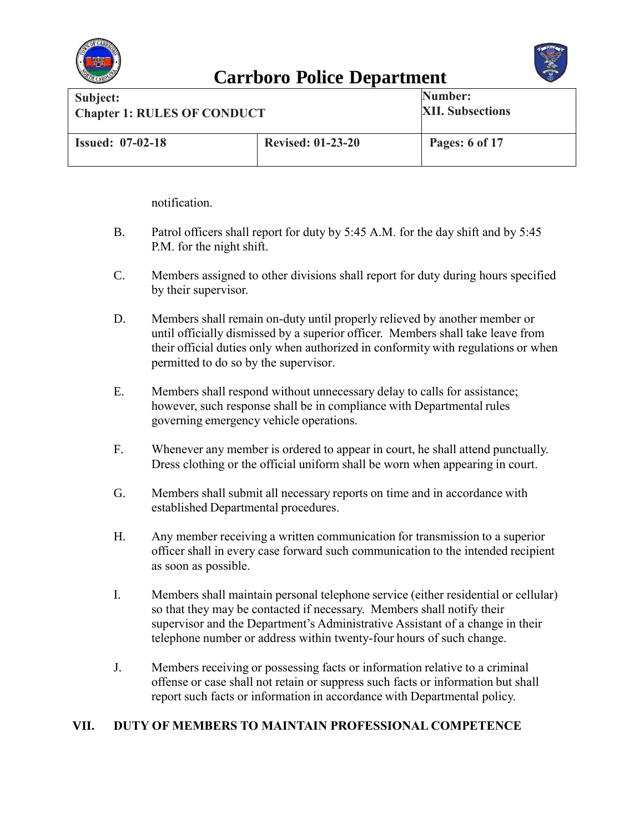



| Subject:                           |                          | Number:                 |
|------------------------------------|--------------------------|-------------------------|
|                                    |                          | <b>XII. Subsections</b> |
| <b>Chapter 1: RULES OF CONDUCT</b> |                          |                         |
|                                    |                          |                         |
|                                    |                          |                         |
| <b>Issued: 07-02-18</b>            | <b>Revised: 01-23-20</b> | <b>Pages:</b> 6 of 17   |
|                                    |                          |                         |
|                                    |                          |                         |

notification.

- B. Patrol officers shall report for duty by 5:45 A.M. for the day shift and by 5:45 P.M. for the night shift.
- C. Members assigned to other divisions shall report for duty during hours specified by their supervisor.
- D. Members shall remain on-duty until properly relieved by another member or until officially dismissed by a superior officer. Members shall take leave from their official duties only when authorized in conformity with regulations or when permitted to do so by the supervisor.
- E. Members shall respond without unnecessary delay to calls for assistance; however, such response shall be in compliance with Departmental rules governing emergency vehicle operations.
- F. Whenever any member is ordered to appear in court, he shall attend punctually. Dress clothing or the official uniform shall be worn when appearing in court.
- G. Members shall submit all necessary reports on time and in accordance with established Departmental procedures.
- H. Any member receiving a written communication for transmission to a superior officer shall in every case forward such communication to the intended recipient as soon as possible.
- I. Members shall maintain personal telephone service (either residential or cellular) so that they may be contacted if necessary. Members shall notify their supervisor and the Department's Administrative Assistant of a change in their telephone number or address within twenty-four hours of such change.
- J. Members receiving or possessing facts or information relative to a criminal offense or case shall not retain or suppress such facts or information but shall report such facts or information in accordance with Departmental policy.

#### **VII. DUTY OF MEMBERS TO MAINTAIN PROFESSIONAL COMPETENCE**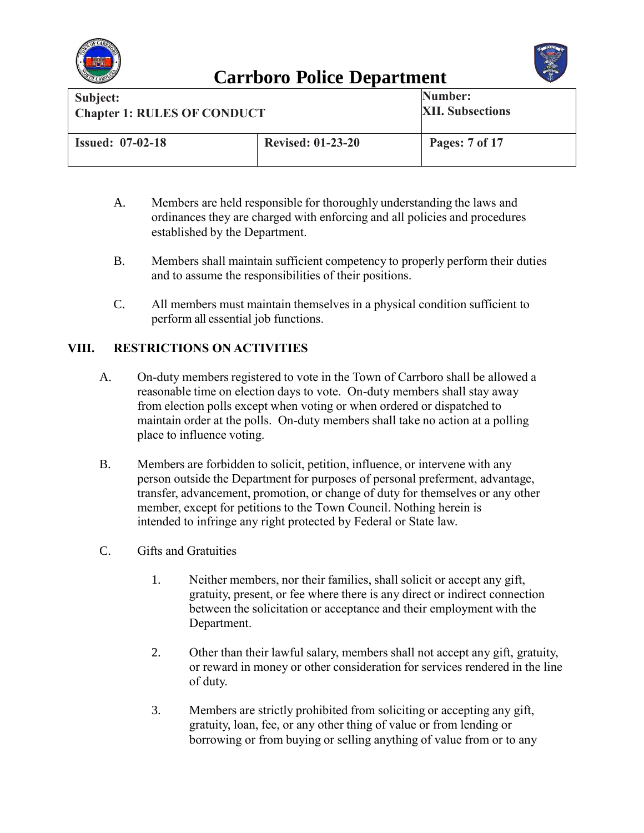



| Subject:                           |                          | Number:                 |
|------------------------------------|--------------------------|-------------------------|
| <b>Chapter 1: RULES OF CONDUCT</b> |                          | <b>XII. Subsections</b> |
|                                    |                          |                         |
| <b>Issued: 07-02-18</b>            | <b>Revised: 01-23-20</b> | Pages: 7 of 17          |

- A. Members are held responsible for thoroughly understanding the laws and ordinances they are charged with enforcing and all policies and procedures established by the Department.
- B. Members shall maintain sufficient competency to properly perform their duties and to assume the responsibilities of their positions.
- C. All members must maintain themselves in a physical condition sufficient to perform all essential job functions.

#### **VIII. RESTRICTIONS ON ACTIVITIES**

- A. On-duty members registered to vote in the Town of Carrboro shall be allowed a reasonable time on election days to vote. On-duty members shall stay away from election polls except when voting or when ordered or dispatched to maintain order at the polls. On-duty members shall take no action at a polling place to influence voting.
- B. Members are forbidden to solicit, petition, influence, or intervene with any person outside the Department for purposes of personal preferment, advantage, transfer, advancement, promotion, or change of duty for themselves or any other member, except for petitions to the Town Council. Nothing herein is intended to infringe any right protected by Federal or State law.
- C. Gifts and Gratuities
	- 1. Neither members, nor their families, shall solicit or accept any gift, gratuity, present, or fee where there is any direct or indirect connection between the solicitation or acceptance and their employment with the Department.
	- 2. Other than their lawful salary, members shall not accept any gift, gratuity, or reward in money or other consideration for services rendered in the line of duty.
	- 3. Members are strictly prohibited from soliciting or accepting any gift, gratuity, loan, fee, or any other thing of value or from lending or borrowing or from buying or selling anything of value from or to any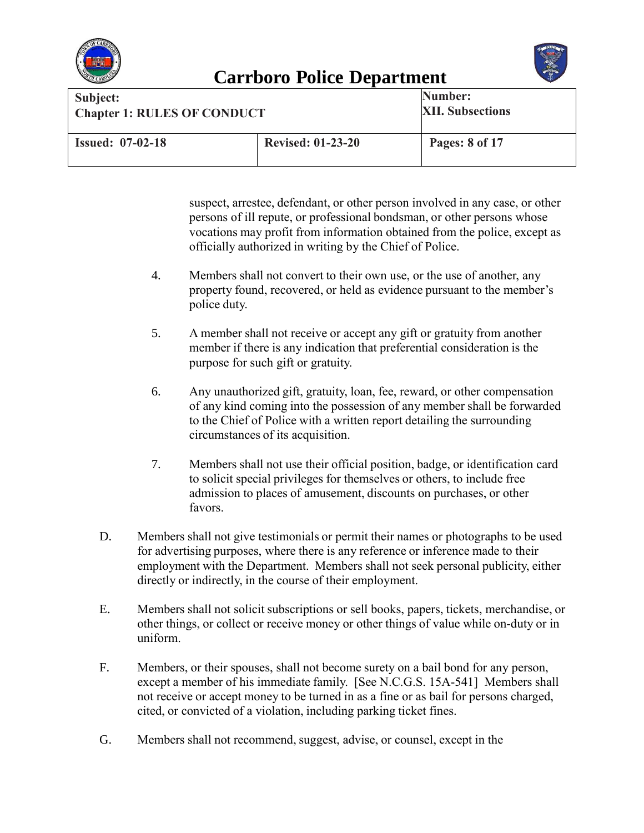



| Subject:<br><b>Chapter 1: RULES OF CONDUCT</b> |                          | Number:<br><b>XII. Subsections</b> |
|------------------------------------------------|--------------------------|------------------------------------|
| <b>Issued: 07-02-18</b>                        | <b>Revised: 01-23-20</b> | <b>Pages: 8 of 17</b>              |

suspect, arrestee, defendant, or other person involved in any case, or other persons of ill repute, or professional bondsman, or other persons whose vocations may profit from information obtained from the police, except as officially authorized in writing by the Chief of Police.

- 4. Members shall not convert to their own use, or the use of another, any property found, recovered, or held as evidence pursuant to the member's police duty.
- 5. A member shall not receive or accept any gift or gratuity from another member if there is any indication that preferential consideration is the purpose for such gift or gratuity.
- 6. Any unauthorized gift, gratuity, loan, fee, reward, or other compensation of any kind coming into the possession of any member shall be forwarded to the Chief of Police with a written report detailing the surrounding circumstances of its acquisition.
- 7. Members shall not use their official position, badge, or identification card to solicit special privileges for themselves or others, to include free admission to places of amusement, discounts on purchases, or other favors.
- D. Members shall not give testimonials or permit their names or photographs to be used for advertising purposes, where there is any reference or inference made to their employment with the Department. Members shall not seek personal publicity, either directly or indirectly, in the course of their employment.
- E. Members shall not solicit subscriptions or sell books, papers, tickets, merchandise, or other things, or collect or receive money or other things of value while on-duty or in uniform.
- F. Members, or their spouses, shall not become surety on a bail bond for any person, except a member of his immediate family. [See N.C.G.S. 15A-541] Members shall not receive or accept money to be turned in as a fine or as bail for persons charged, cited, or convicted of a violation, including parking ticket fines.
- G. Members shall not recommend, suggest, advise, or counsel, except in the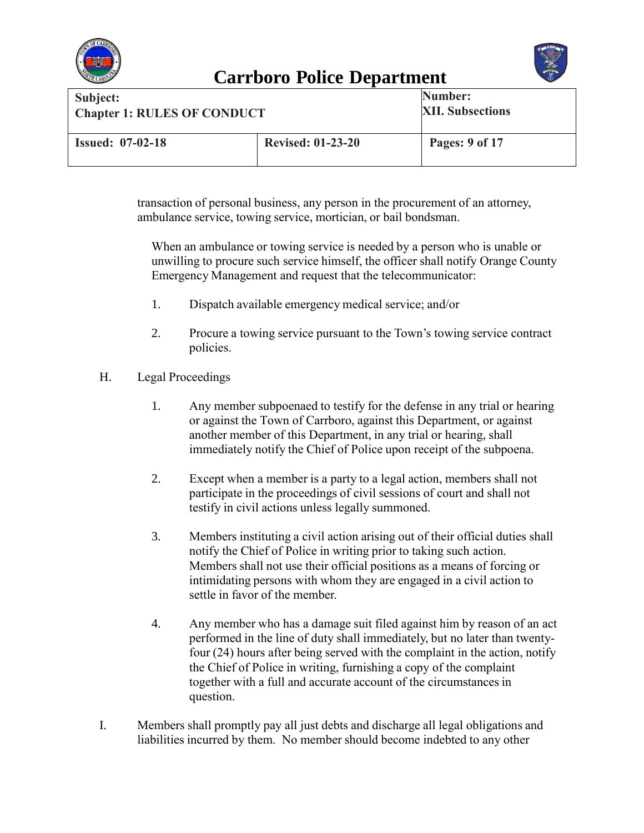



| Subject:<br><b>Chapter 1: RULES OF CONDUCT</b> |                          | Number:<br><b>XII. Subsections</b> |
|------------------------------------------------|--------------------------|------------------------------------|
| <b>Issued: 07-02-18</b>                        | <b>Revised: 01-23-20</b> | Pages: 9 of 17                     |

transaction of personal business, any person in the procurement of an attorney, ambulance service, towing service, mortician, or bail bondsman.

When an ambulance or towing service is needed by a person who is unable or unwilling to procure such service himself, the officer shall notify Orange County Emergency Management and request that the telecommunicator:

- 1. Dispatch available emergency medical service; and/or
- 2. Procure a towing service pursuant to the Town's towing service contract policies.
- H. Legal Proceedings
	- 1. Any member subpoenaed to testify for the defense in any trial or hearing or against the Town of Carrboro, against this Department, or against another member of this Department, in any trial or hearing, shall immediately notify the Chief of Police upon receipt of the subpoena.
	- 2. Except when a member is a party to a legal action, members shall not participate in the proceedings of civil sessions of court and shall not testify in civil actions unless legally summoned.
	- 3. Members instituting a civil action arising out of their official duties shall notify the Chief of Police in writing prior to taking such action. Members shall not use their official positions as a means of forcing or intimidating persons with whom they are engaged in a civil action to settle in favor of the member.
	- 4. Any member who has a damage suit filed against him by reason of an act performed in the line of duty shall immediately, but no later than twentyfour (24) hours after being served with the complaint in the action, notify the Chief of Police in writing, furnishing a copy of the complaint together with a full and accurate account of the circumstancesin question.
- I. Members shall promptly pay all just debts and discharge all legal obligations and liabilities incurred by them. No member should become indebted to any other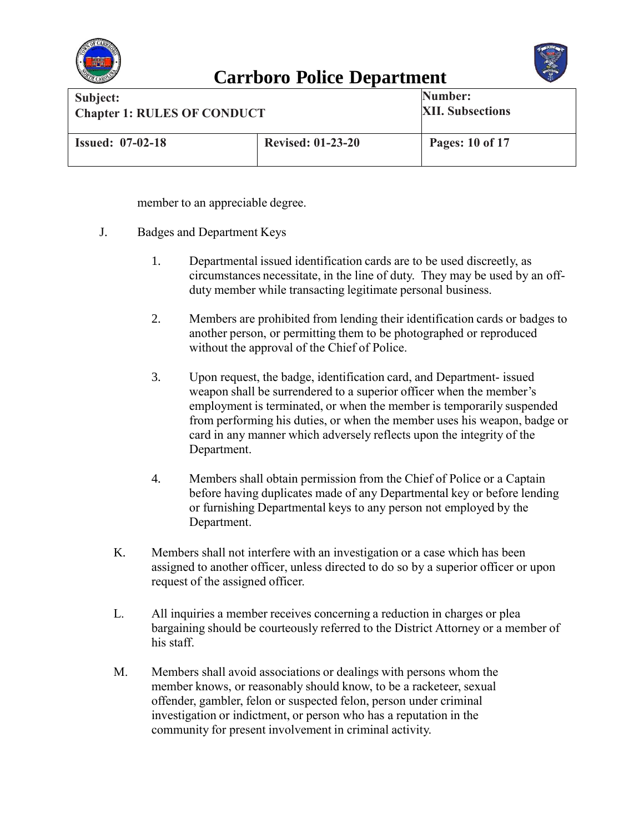



| Subject:<br><b>Chapter 1: RULES OF CONDUCT</b> |                          | Number:<br><b>XII. Subsections</b> |
|------------------------------------------------|--------------------------|------------------------------------|
| <b>Issued: 07-02-18</b>                        | <b>Revised: 01-23-20</b> | Pages: 10 of 17                    |

member to an appreciable degree.

- J. Badges and Department Keys
	- 1. Departmental issued identification cards are to be used discreetly, as circumstances necessitate, in the line of duty. They may be used by an offduty member while transacting legitimate personal business.
	- 2. Members are prohibited from lending their identification cards or badges to another person, or permitting them to be photographed or reproduced without the approval of the Chief of Police.
	- 3. Upon request, the badge, identification card, and Department- issued weapon shall be surrendered to a superior officer when the member's employment is terminated, or when the member is temporarily suspended from performing his duties, or when the member uses his weapon, badge or card in any manner which adversely reflects upon the integrity of the Department.
	- 4. Members shall obtain permission from the Chief of Police or a Captain before having duplicates made of any Departmental key or before lending or furnishing Departmental keys to any person not employed by the Department.
	- K. Members shall not interfere with an investigation or a case which has been assigned to another officer, unless directed to do so by a superior officer or upon request of the assigned officer.
	- L. All inquiries a member receives concerning a reduction in charges or plea bargaining should be courteously referred to the District Attorney or a member of his staff.
	- M. Members shall avoid associations or dealings with persons whom the member knows, or reasonably should know, to be a racketeer, sexual offender, gambler, felon or suspected felon, person under criminal investigation or indictment, or person who has a reputation in the community for present involvement in criminal activity.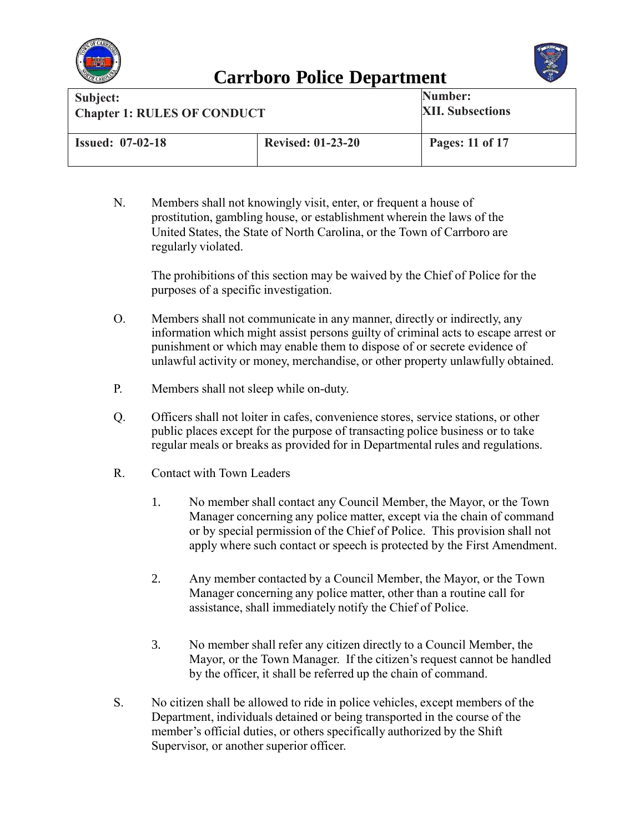



| Subject:<br><b>Chapter 1: RULES OF CONDUCT</b> |                          | Number:<br><b>XII. Subsections</b> |
|------------------------------------------------|--------------------------|------------------------------------|
| <b>Issued: 07-02-18</b>                        | <b>Revised: 01-23-20</b> | Pages: 11 of 17                    |

N. Members shall not knowingly visit, enter, or frequent a house of prostitution, gambling house, or establishment wherein the laws of the United States, the State of North Carolina, or the Town of Carrboro are regularly violated.

The prohibitions of this section may be waived by the Chief of Police for the purposes of a specific investigation.

- O. Members shall not communicate in any manner, directly or indirectly, any information which might assist persons guilty of criminal acts to escape arrest or punishment or which may enable them to dispose of or secrete evidence of unlawful activity or money, merchandise, or other property unlawfully obtained.
- P. Members shall not sleep while on-duty.
- Q. Officers shall not loiter in cafes, convenience stores, service stations, or other public places except for the purpose of transacting police business or to take regular meals or breaks as provided for in Departmental rules and regulations.
- R. Contact with Town Leaders
	- 1. No member shall contact any Council Member, the Mayor, or the Town Manager concerning any police matter, except via the chain of command or by special permission of the Chief of Police. This provision shall not apply where such contact or speech is protected by the First Amendment.
	- 2. Any member contacted by a Council Member, the Mayor, or the Town Manager concerning any police matter, other than a routine call for assistance, shall immediately notify the Chief of Police.
	- 3. No member shall refer any citizen directly to a Council Member, the Mayor, or the Town Manager. If the citizen's request cannot be handled by the officer, it shall be referred up the chain of command.
- S. No citizen shall be allowed to ride in police vehicles, except members of the Department, individuals detained or being transported in the course of the member's official duties, or others specifically authorized by the Shift Supervisor, or another superior officer.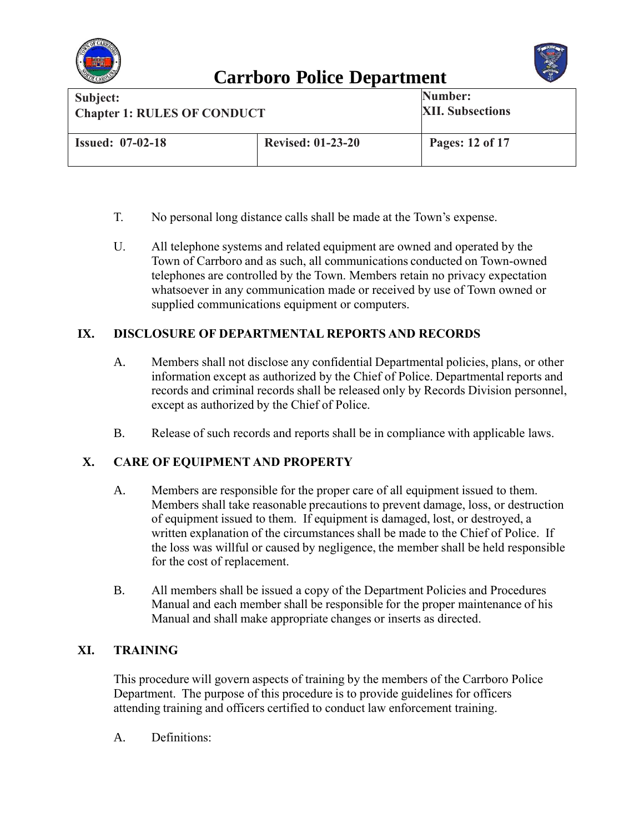



| Subject:<br><b>Chapter 1: RULES OF CONDUCT</b> |                          | Number:<br><b>XII. Subsections</b> |
|------------------------------------------------|--------------------------|------------------------------------|
| <b>Issued: 07-02-18</b>                        | <b>Revised: 01-23-20</b> | Pages: 12 of 17                    |

- T. No personal long distance calls shall be made at the Town's expense.
- U. All telephone systems and related equipment are owned and operated by the Town of Carrboro and as such, all communications conducted on Town-owned telephones are controlled by the Town. Members retain no privacy expectation whatsoever in any communication made or received by use of Town owned or supplied communications equipment or computers.

#### **IX. DISCLOSURE OF DEPARTMENTAL REPORTS AND RECORDS**

- A. Members shall not disclose any confidential Departmental policies, plans, or other information except as authorized by the Chief of Police. Departmental reports and records and criminal records shall be released only by Records Division personnel, except as authorized by the Chief of Police.
- B. Release of such records and reports shall be in compliance with applicable laws.

#### **X. CARE OF EQUIPMENT AND PROPERTY**

- A. Members are responsible for the proper care of all equipment issued to them. Members shall take reasonable precautions to prevent damage, loss, or destruction of equipment issued to them. If equipment is damaged, lost, or destroyed, a written explanation of the circumstances shall be made to the Chief of Police. If the loss was willful or caused by negligence, the member shall be held responsible for the cost of replacement.
- B. All members shall be issued a copy of the Department Policies and Procedures Manual and each member shall be responsible for the proper maintenance of his Manual and shall make appropriate changes or inserts as directed.

#### **XI. TRAINING**

This procedure will govern aspects of training by the members of the Carrboro Police Department. The purpose of this procedure is to provide guidelines for officers attending training and officers certified to conduct law enforcement training.

A. Definitions: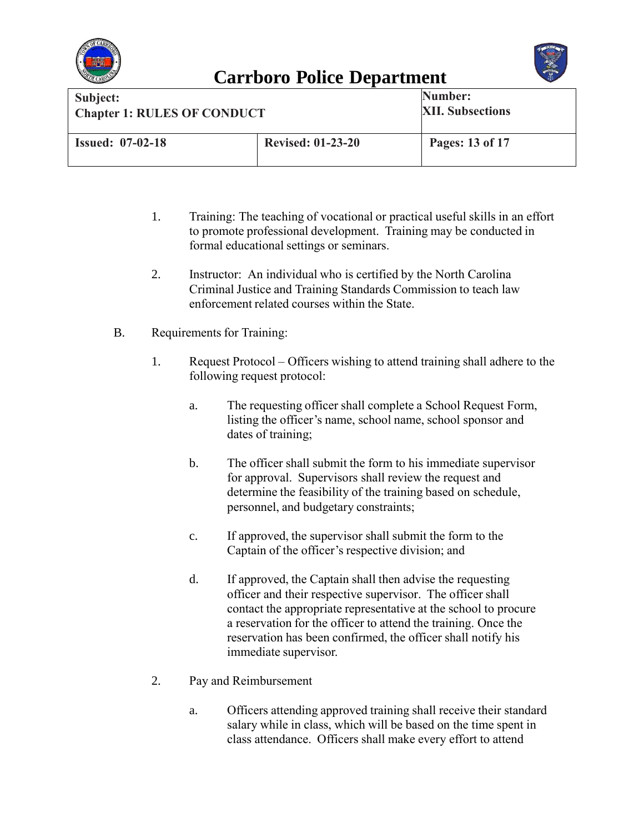



| Subject:                           |                          | Number:                 |
|------------------------------------|--------------------------|-------------------------|
| <b>Chapter 1: RULES OF CONDUCT</b> |                          | <b>XII. Subsections</b> |
| <b>Issued: 07-02-18</b>            | <b>Revised: 01-23-20</b> | Pages: 13 of 17         |

- 1. Training: The teaching of vocational or practical useful skills in an effort to promote professional development. Training may be conducted in formal educational settings or seminars.
- 2. Instructor: An individual who is certified by the North Carolina Criminal Justice and Training Standards Commission to teach law enforcement related courses within the State.
- B. Requirements for Training:
	- 1. Request Protocol Officers wishing to attend training shall adhere to the following request protocol:
		- a. The requesting officer shall complete a School Request Form, listing the officer's name, school name, school sponsor and dates of training;
		- b. The officer shall submit the form to his immediate supervisor for approval. Supervisors shall review the request and determine the feasibility of the training based on schedule, personnel, and budgetary constraints;
		- c. If approved, the supervisor shall submit the form to the Captain of the officer's respective division; and
		- d. If approved, the Captain shall then advise the requesting officer and their respective supervisor. The officer shall contact the appropriate representative at the school to procure a reservation for the officer to attend the training. Once the reservation has been confirmed, the officer shall notify his immediate supervisor.
	- 2. Pay and Reimbursement
		- a. Officers attending approved training shall receive their standard salary while in class, which will be based on the time spent in class attendance. Officers shall make every effort to attend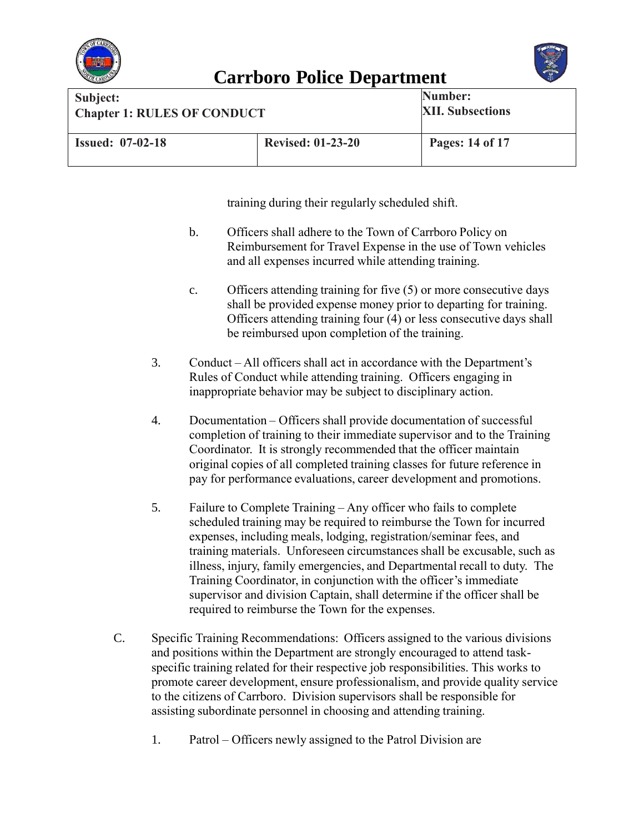



| Subject:<br><b>Chapter 1: RULES OF CONDUCT</b> |                          | Number:<br><b>XII. Subsections</b> |
|------------------------------------------------|--------------------------|------------------------------------|
| <b>Issued: 07-02-18</b>                        | <b>Revised: 01-23-20</b> | Pages: 14 of 17                    |

training during their regularly scheduled shift.

- b. Officers shall adhere to the Town of Carrboro Policy on Reimbursement for Travel Expense in the use of Town vehicles and all expenses incurred while attending training.
- c. Officers attending training for five (5) or more consecutive days shall be provided expense money prior to departing for training. Officers attending training four (4) or less consecutive days shall be reimbursed upon completion of the training.
- 3. Conduct All officers shall act in accordance with the Department's Rules of Conduct while attending training. Officers engaging in inappropriate behavior may be subject to disciplinary action.
- 4. Documentation Officers shall provide documentation of successful completion of training to their immediate supervisor and to the Training Coordinator. It is strongly recommended that the officer maintain original copies of all completed training classes for future reference in pay for performance evaluations, career development and promotions.
- 5. Failure to Complete Training Any officer who fails to complete scheduled training may be required to reimburse the Town for incurred expenses, including meals, lodging, registration/seminar fees, and training materials. Unforeseen circumstancesshall be excusable, such as illness, injury, family emergencies, and Departmental recall to duty. The Training Coordinator, in conjunction with the officer's immediate supervisor and division Captain, shall determine if the officer shall be required to reimburse the Town for the expenses.
- C. Specific Training Recommendations: Officers assigned to the various divisions and positions within the Department are strongly encouraged to attend taskspecific training related for their respective job responsibilities. This works to promote career development, ensure professionalism, and provide quality service to the citizens of Carrboro. Division supervisors shall be responsible for assisting subordinate personnel in choosing and attending training.
	- 1. Patrol Officers newly assigned to the Patrol Division are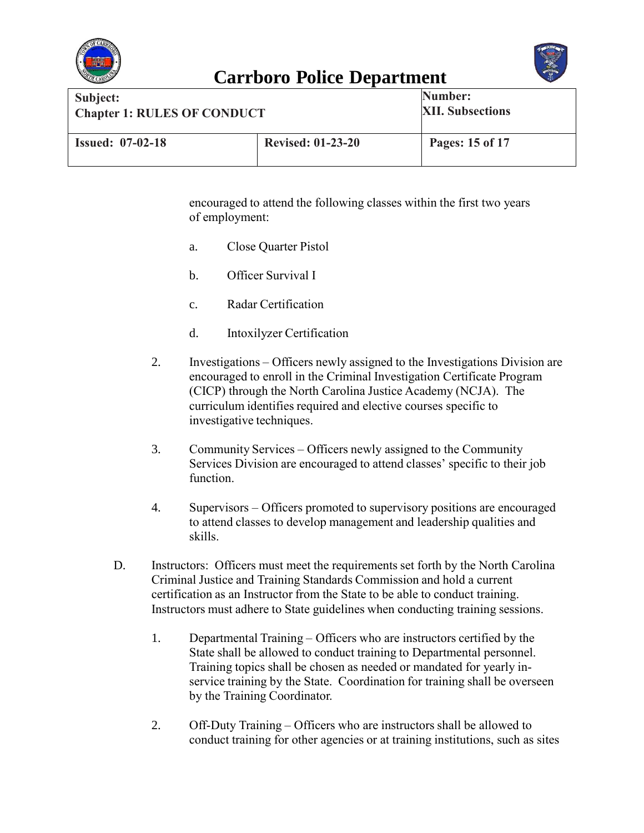



| Subject:                           |                          | Number:                 |
|------------------------------------|--------------------------|-------------------------|
| <b>Chapter 1: RULES OF CONDUCT</b> |                          | <b>XII. Subsections</b> |
| <b>Issued: 07-02-18</b>            | <b>Revised: 01-23-20</b> | Pages: 15 of 17         |

encouraged to attend the following classes within the first two years of employment:

- a. Close Quarter Pistol
- b. Officer Survival I
- c. Radar Certification
- d. Intoxilyzer Certification
- 2. Investigations Officers newly assigned to the Investigations Division are encouraged to enroll in the Criminal Investigation Certificate Program (CICP) through the North Carolina Justice Academy (NCJA). The curriculum identifies required and elective courses specific to investigative techniques.
- 3. Community Services Officers newly assigned to the Community Services Division are encouraged to attend classes' specific to their job function.
- 4. Supervisors Officers promoted to supervisory positions are encouraged to attend classes to develop management and leadership qualities and skills.
- D. Instructors: Officers must meet the requirements set forth by the North Carolina Criminal Justice and Training Standards Commission and hold a current certification as an Instructor from the State to be able to conduct training. Instructors must adhere to State guidelines when conducting training sessions.
	- 1. Departmental Training Officers who are instructors certified by the State shall be allowed to conduct training to Departmental personnel. Training topics shall be chosen as needed or mandated for yearly inservice training by the State. Coordination for training shall be overseen by the Training Coordinator.
	- 2. Off-Duty Training Officers who are instructors shall be allowed to conduct training for other agencies or at training institutions, such as sites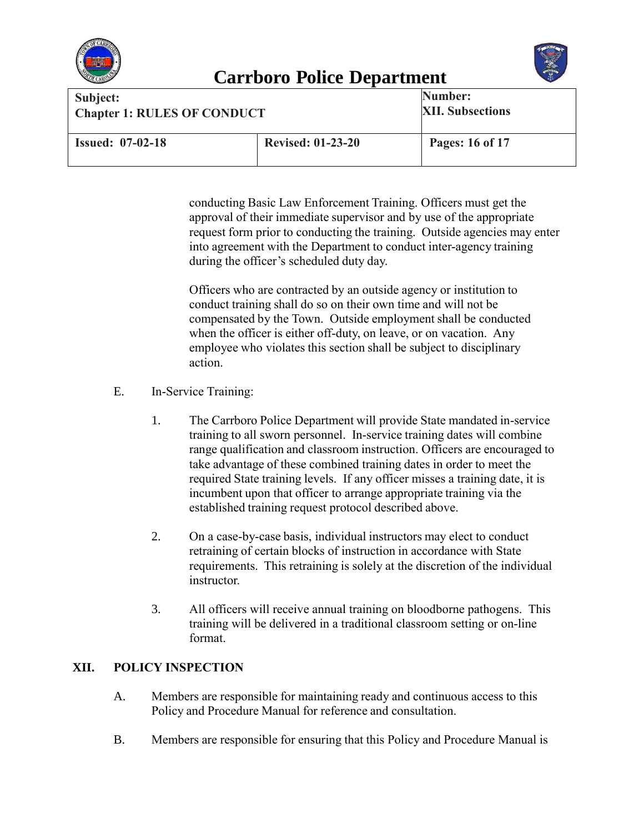



| Subject:<br><b>Chapter 1: RULES OF CONDUCT</b> |                          | Number:<br><b>XII. Subsections</b> |
|------------------------------------------------|--------------------------|------------------------------------|
| <b>Issued: 07-02-18</b>                        | <b>Revised: 01-23-20</b> | Pages: 16 of 17                    |

conducting Basic Law Enforcement Training. Officers must get the approval of their immediate supervisor and by use of the appropriate request form prior to conducting the training. Outside agencies may enter into agreement with the Department to conduct inter-agency training during the officer's scheduled duty day.

Officers who are contracted by an outside agency or institution to conduct training shall do so on their own time and will not be compensated by the Town. Outside employment shall be conducted when the officer is either off-duty, on leave, or on vacation. Any employee who violates this section shall be subject to disciplinary action.

- E. In-Service Training:
	- 1. The Carrboro Police Department will provide State mandated in-service training to all sworn personnel. In-service training dates will combine range qualification and classroom instruction. Officers are encouraged to take advantage of these combined training dates in order to meet the required State training levels. If any officer misses a training date, it is incumbent upon that officer to arrange appropriate training via the established training request protocol described above.
	- 2. On a case-by-case basis, individual instructors may elect to conduct retraining of certain blocks of instruction in accordance with State requirements. This retraining is solely at the discretion of the individual **instructor**
	- 3. All officers will receive annual training on bloodborne pathogens. This training will be delivered in a traditional classroom setting or on-line format.

#### **XII. POLICY INSPECTION**

- A. Members are responsible for maintaining ready and continuous access to this Policy and Procedure Manual for reference and consultation.
- B. Members are responsible for ensuring that this Policy and Procedure Manual is